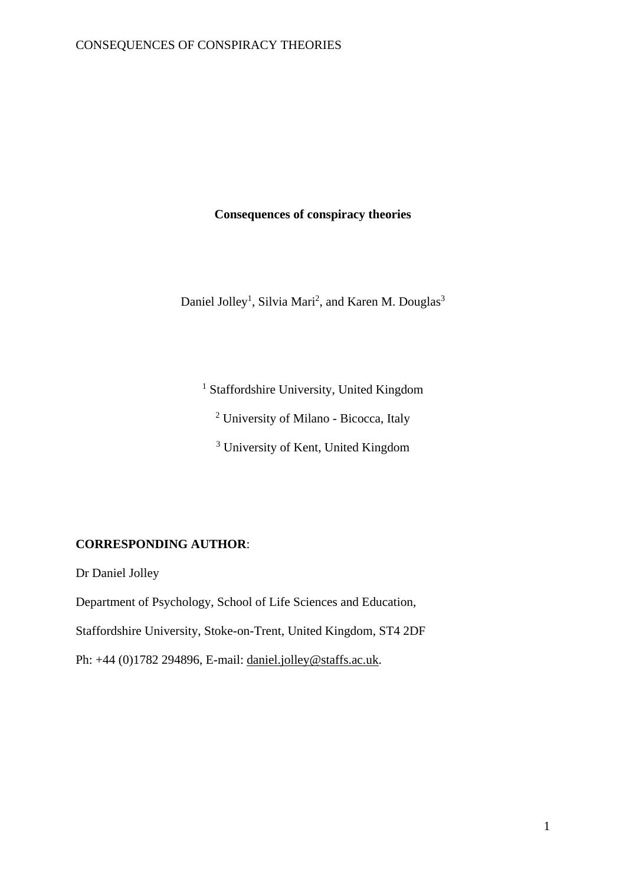# **Consequences of conspiracy theories**

Daniel Jolley<sup>1</sup>, Silvia Mari<sup>2</sup>, and Karen M. Douglas<sup>3</sup>

<sup>1</sup> Staffordshire University, United Kingdom

<sup>2</sup> University of Milano - Bicocca, Italy

<sup>3</sup> University of Kent, United Kingdom

## **CORRESPONDING AUTHOR**:

Dr Daniel Jolley

Department of Psychology, School of Life Sciences and Education, Staffordshire University, Stoke-on-Trent, United Kingdom, ST4 2DF Ph: +44 (0)1782 294896, E-mail: [daniel.jolley@staffs.ac.uk.](mailto:daniel.jolley@staffs.ac.uk)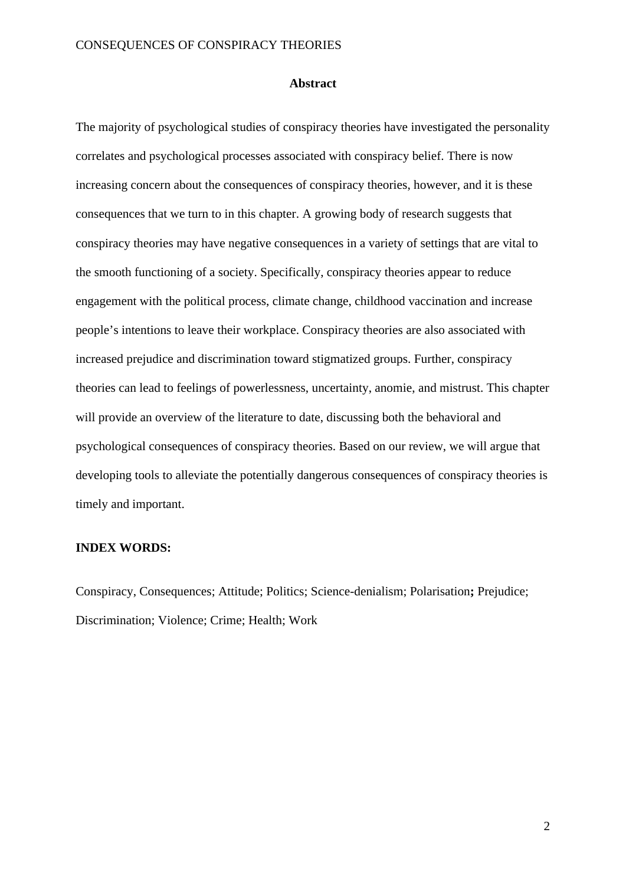#### **Abstract**

The majority of psychological studies of conspiracy theories have investigated the personality correlates and psychological processes associated with conspiracy belief. There is now increasing concern about the consequences of conspiracy theories, however, and it is these consequences that we turn to in this chapter. A growing body of research suggests that conspiracy theories may have negative consequences in a variety of settings that are vital to the smooth functioning of a society. Specifically, conspiracy theories appear to reduce engagement with the political process, climate change, childhood vaccination and increase people's intentions to leave their workplace. Conspiracy theories are also associated with increased prejudice and discrimination toward stigmatized groups. Further, conspiracy theories can lead to feelings of powerlessness, uncertainty, anomie, and mistrust. This chapter will provide an overview of the literature to date, discussing both the behavioral and psychological consequences of conspiracy theories. Based on our review, we will argue that developing tools to alleviate the potentially dangerous consequences of conspiracy theories is timely and important.

### **INDEX WORDS:**

Conspiracy, Consequences; Attitude; Politics; Science-denialism; Polarisation**;** Prejudice; Discrimination; Violence; Crime; Health; Work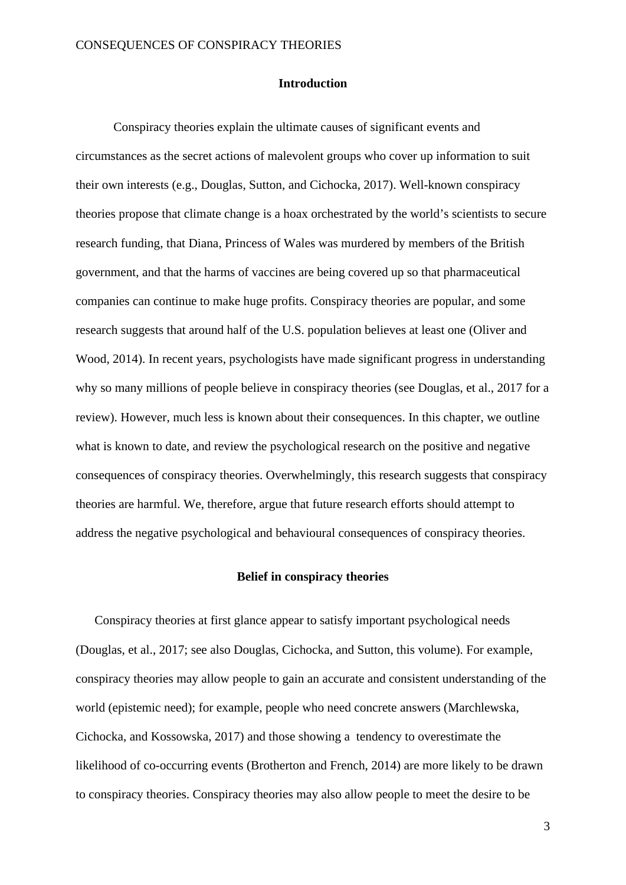#### **Introduction**

Conspiracy theories explain the ultimate causes of significant events and circumstances as the secret actions of malevolent groups who cover up information to suit their own interests (e.g., Douglas, Sutton, and Cichocka, 2017). Well-known conspiracy theories propose that climate change is a hoax orchestrated by the world's scientists to secure research funding, that Diana, Princess of Wales was murdered by members of the British government, and that the harms of vaccines are being covered up so that pharmaceutical companies can continue to make huge profits. Conspiracy theories are popular, and some research suggests that around half of the U.S. population believes at least one (Oliver and Wood, 2014). In recent years, psychologists have made significant progress in understanding why so many millions of people believe in conspiracy theories (see Douglas, et al., 2017 for a review). However, much less is known about their consequences. In this chapter, we outline what is known to date, and review the psychological research on the positive and negative consequences of conspiracy theories. Overwhelmingly, this research suggests that conspiracy theories are harmful. We, therefore, argue that future research efforts should attempt to address the negative psychological and behavioural consequences of conspiracy theories.

### **Belief in conspiracy theories**

Conspiracy theories at first glance appear to satisfy important psychological needs (Douglas, et al., 2017; see also Douglas, Cichocka, and Sutton, this volume). For example, conspiracy theories may allow people to gain an accurate and consistent understanding of the world (epistemic need); for example, people who need concrete answers (Marchlewska, Cichocka, and Kossowska, 2017) and those showing a tendency to overestimate the likelihood of co-occurring events (Brotherton and French, 2014) are more likely to be drawn to conspiracy theories. Conspiracy theories may also allow people to meet the desire to be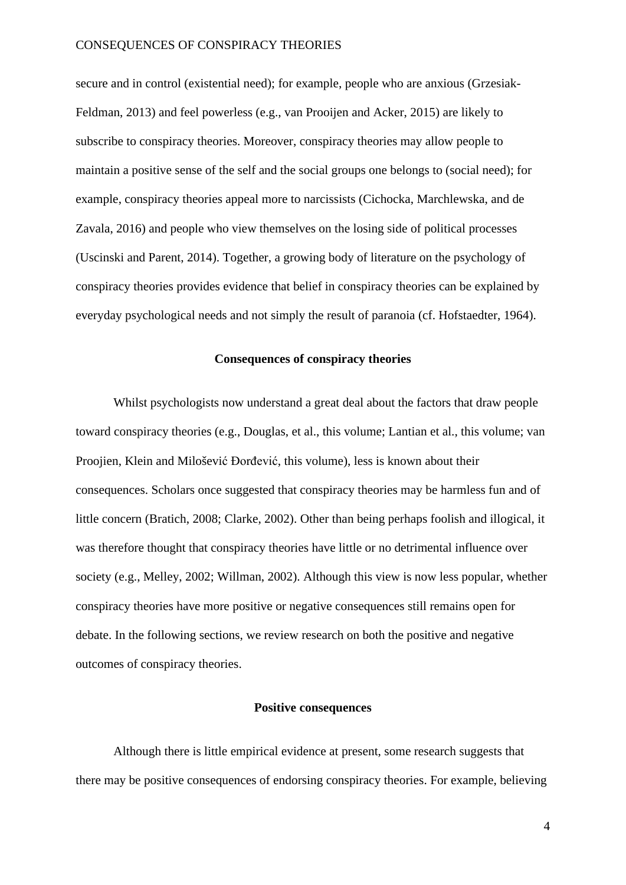secure and in control (existential need); for example, people who are anxious (Grzesiak-Feldman, 2013) and feel powerless (e.g., van Prooijen and Acker, 2015) are likely to subscribe to conspiracy theories. Moreover, conspiracy theories may allow people to maintain a positive sense of the self and the social groups one belongs to (social need); for example, conspiracy theories appeal more to narcissists (Cichocka, Marchlewska, and de Zavala, 2016) and people who view themselves on the losing side of political processes (Uscinski and Parent, 2014). Together, a growing body of literature on the psychology of conspiracy theories provides evidence that belief in conspiracy theories can be explained by everyday psychological needs and not simply the result of paranoia (cf. Hofstaedter, 1964).

# **Consequences of conspiracy theories**

Whilst psychologists now understand a great deal about the factors that draw people toward conspiracy theories (e.g., Douglas, et al., this volume; Lantian et al., this volume; van Proojien, Klein and Milošević Đorđević, this volume), less is known about their consequences. Scholars once suggested that conspiracy theories may be harmless fun and of little concern (Bratich, 2008; Clarke, 2002). Other than being perhaps foolish and illogical, it was therefore thought that conspiracy theories have little or no detrimental influence over society (e.g., Melley, 2002; Willman, 2002). Although this view is now less popular, whether conspiracy theories have more positive or negative consequences still remains open for debate. In the following sections, we review research on both the positive and negative outcomes of conspiracy theories.

# **Positive consequences**

Although there is little empirical evidence at present, some research suggests that there may be positive consequences of endorsing conspiracy theories. For example, believing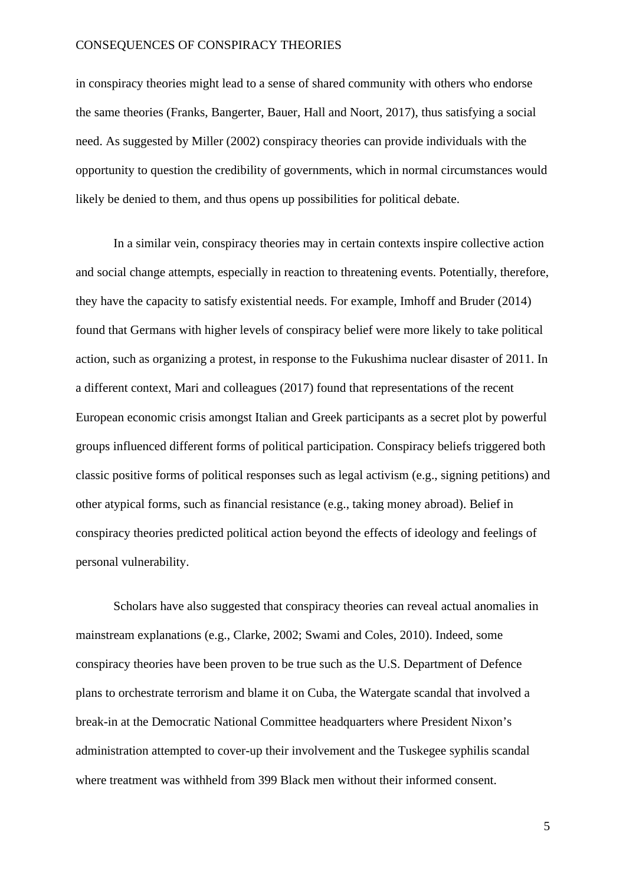in conspiracy theories might lead to a sense of shared community with others who endorse the same theories (Franks, Bangerter, Bauer, Hall and Noort, 2017), thus satisfying a social need. As suggested by Miller (2002) conspiracy theories can provide individuals with the opportunity to question the credibility of governments, which in normal circumstances would likely be denied to them, and thus opens up possibilities for political debate.

In a similar vein, conspiracy theories may in certain contexts inspire collective action and social change attempts, especially in reaction to threatening events. Potentially, therefore, they have the capacity to satisfy existential needs. For example, Imhoff and Bruder (2014) found that Germans with higher levels of conspiracy belief were more likely to take political action, such as organizing a protest, in response to the Fukushima nuclear disaster of 2011. In a different context, Mari and colleagues (2017) found that representations of the recent European economic crisis amongst Italian and Greek participants as a secret plot by powerful groups influenced different forms of political participation. Conspiracy beliefs triggered both classic positive forms of political responses such as legal activism (e.g., signing petitions) and other atypical forms, such as financial resistance (e.g., taking money abroad). Belief in conspiracy theories predicted political action beyond the effects of ideology and feelings of personal vulnerability.

Scholars have also suggested that conspiracy theories can reveal actual anomalies in mainstream explanations (e.g., Clarke, 2002; Swami and Coles, 2010). Indeed, some conspiracy theories have been proven to be true such as the U.S. Department of Defence plans to orchestrate terrorism and blame it on Cuba, the Watergate scandal that involved a break-in at the Democratic National Committee headquarters where President Nixon's administration attempted to cover-up their involvement and the Tuskegee syphilis scandal where treatment was withheld from 399 Black men without their informed consent.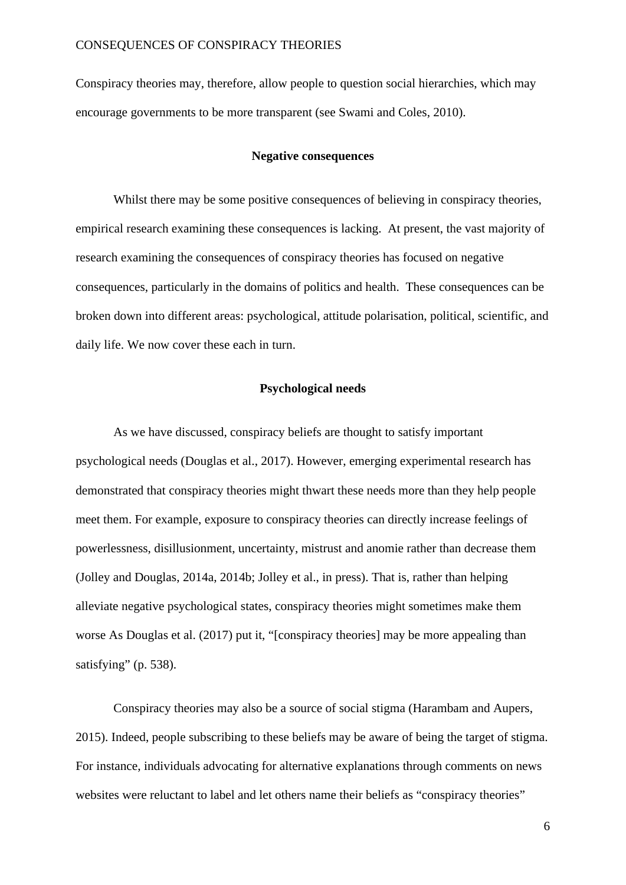Conspiracy theories may, therefore, allow people to question social hierarchies, which may encourage governments to be more transparent (see Swami and Coles, 2010).

## **Negative consequences**

Whilst there may be some positive consequences of believing in conspiracy theories, empirical research examining these consequences is lacking. At present, the vast majority of research examining the consequences of conspiracy theories has focused on negative consequences, particularly in the domains of politics and health. These consequences can be broken down into different areas: psychological, attitude polarisation, political, scientific, and daily life. We now cover these each in turn.

# **Psychological needs**

As we have discussed, conspiracy beliefs are thought to satisfy important psychological needs (Douglas et al., 2017). However, emerging experimental research has demonstrated that conspiracy theories might thwart these needs more than they help people meet them. For example, exposure to conspiracy theories can directly increase feelings of powerlessness, disillusionment, uncertainty, mistrust and anomie rather than decrease them (Jolley and Douglas, 2014a, 2014b; Jolley et al., in press). That is, rather than helping alleviate negative psychological states, conspiracy theories might sometimes make them worse As Douglas et al. (2017) put it, "[conspiracy theories] may be more appealing than satisfying" (p. 538).

Conspiracy theories may also be a source of social stigma (Harambam and Aupers, 2015). Indeed, people subscribing to these beliefs may be aware of being the target of stigma. For instance, individuals advocating for alternative explanations through comments on news websites were reluctant to label and let others name their beliefs as "conspiracy theories"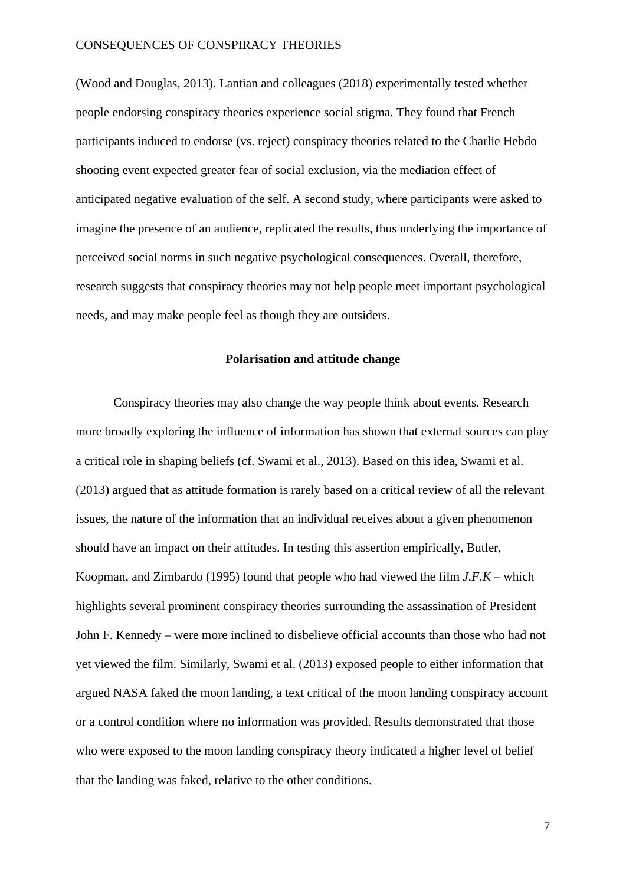(Wood and Douglas, 2013). Lantian and colleagues (2018) experimentally tested whether people endorsing conspiracy theories experience social stigma. They found that French participants induced to endorse (vs. reject) conspiracy theories related to the Charlie Hebdo shooting event expected greater fear of social exclusion, via the mediation effect of anticipated negative evaluation of the self. A second study, where participants were asked to imagine the presence of an audience, replicated the results, thus underlying the importance of perceived social norms in such negative psychological consequences. Overall, therefore, research suggests that conspiracy theories may not help people meet important psychological needs, and may make people feel as though they are outsiders.

### **Polarisation and attitude change**

Conspiracy theories may also change the way people think about events. Research more broadly exploring the influence of information has shown that external sources can play a critical role in shaping beliefs (cf. Swami et al., 2013). Based on this idea, Swami et al. (2013) argued that as attitude formation is rarely based on a critical review of all the relevant issues, the nature of the information that an individual receives about a given phenomenon should have an impact on their attitudes. In testing this assertion empirically, Butler, Koopman, and Zimbardo (1995) found that people who had viewed the film *J.F.K* – which highlights several prominent conspiracy theories surrounding the assassination of President John F. Kennedy – were more inclined to disbelieve official accounts than those who had not yet viewed the film. Similarly, Swami et al. (2013) exposed people to either information that argued NASA faked the moon landing, a text critical of the moon landing conspiracy account or a control condition where no information was provided. Results demonstrated that those who were exposed to the moon landing conspiracy theory indicated a higher level of belief that the landing was faked, relative to the other conditions.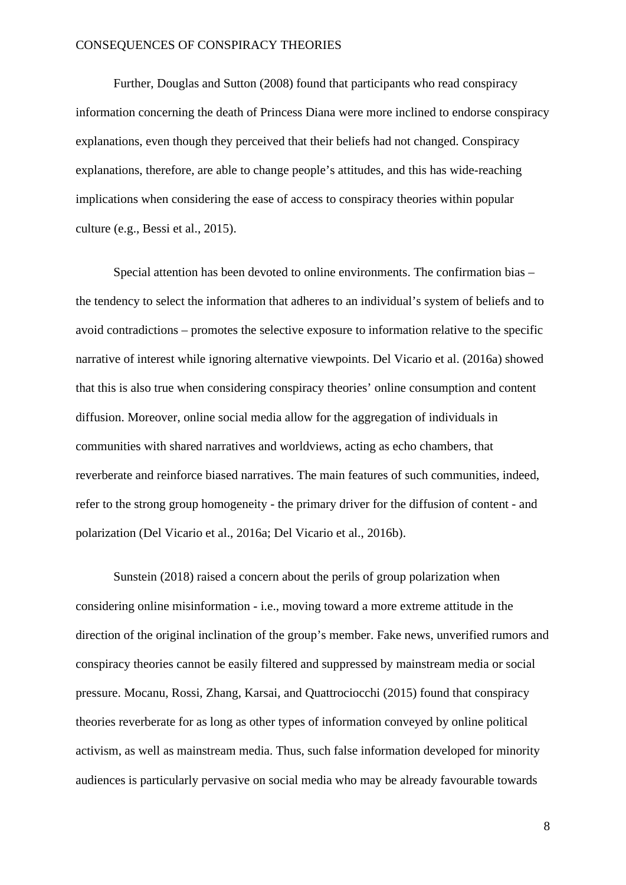Further, Douglas and Sutton (2008) found that participants who read conspiracy information concerning the death of Princess Diana were more inclined to endorse conspiracy explanations, even though they perceived that their beliefs had not changed. Conspiracy explanations, therefore, are able to change people's attitudes, and this has wide-reaching implications when considering the ease of access to conspiracy theories within popular culture (e.g., Bessi et al., 2015).

Special attention has been devoted to online environments. The confirmation bias – the tendency to select the information that adheres to an individual's system of beliefs and to avoid contradictions – promotes the selective exposure to information relative to the specific narrative of interest while ignoring alternative viewpoints. Del Vicario et al. (2016a) showed that this is also true when considering conspiracy theories' online consumption and content diffusion. Moreover, online social media allow for the aggregation of individuals in communities with shared narratives and worldviews, acting as echo chambers, that reverberate and reinforce biased narratives. The main features of such communities, indeed, refer to the strong group homogeneity - the primary driver for the diffusion of content - and polarization (Del Vicario et al., 2016a; Del Vicario et al., 2016b).

Sunstein (2018) raised a concern about the perils of group polarization when considering online misinformation - i.e., moving toward a more extreme attitude in the direction of the original inclination of the group's member. Fake news, unverified rumors and conspiracy theories cannot be easily filtered and suppressed by mainstream media or social pressure. Mocanu, Rossi, Zhang, Karsai, and Quattrociocchi (2015) found that conspiracy theories reverberate for as long as other types of information conveyed by online political activism, as well as mainstream media. Thus, such false information developed for minority audiences is particularly pervasive on social media who may be already favourable towards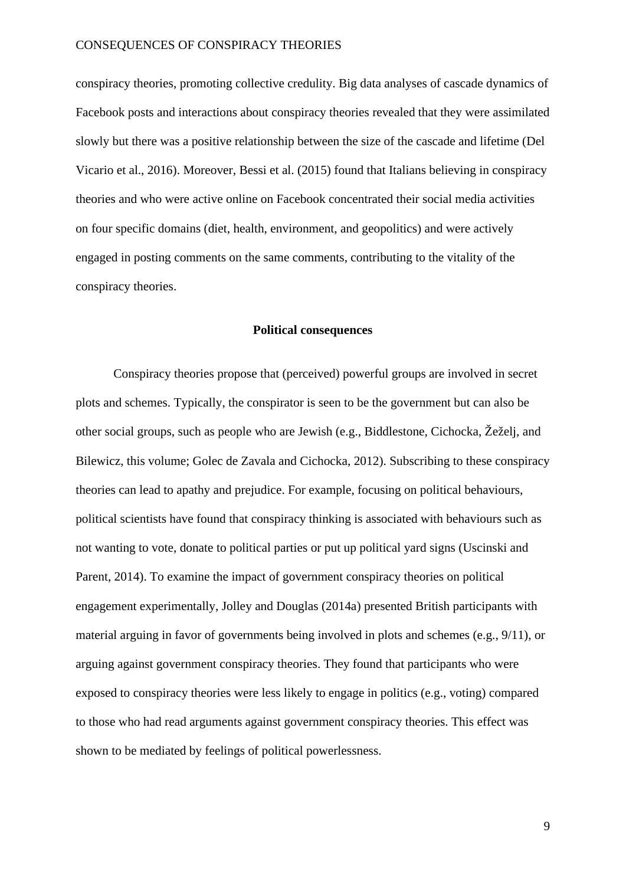conspiracy theories, promoting collective credulity. Big data analyses of cascade dynamics of Facebook posts and interactions about conspiracy theories revealed that they were assimilated slowly but there was a positive relationship between the size of the cascade and lifetime (Del Vicario et al., 2016). Moreover, Bessi et al. (2015) found that Italians believing in conspiracy theories and who were active online on Facebook concentrated their social media activities on four specific domains (diet, health, environment, and geopolitics) and were actively engaged in posting comments on the same comments, contributing to the vitality of the conspiracy theories.

#### **Political consequences**

Conspiracy theories propose that (perceived) powerful groups are involved in secret plots and schemes. Typically, the conspirator is seen to be the government but can also be other social groups, such as people who are Jewish (e.g., Biddlestone, Cichocka, Žeželj, and Bilewicz, this volume; Golec de Zavala and Cichocka, 2012). Subscribing to these conspiracy theories can lead to apathy and prejudice. For example, focusing on political behaviours, political scientists have found that conspiracy thinking is associated with behaviours such as not wanting to vote, donate to political parties or put up political yard signs (Uscinski and Parent, 2014). To examine the impact of government conspiracy theories on political engagement experimentally, Jolley and Douglas (2014a) presented British participants with material arguing in favor of governments being involved in plots and schemes (e.g., 9/11), or arguing against government conspiracy theories. They found that participants who were exposed to conspiracy theories were less likely to engage in politics (e.g., voting) compared to those who had read arguments against government conspiracy theories. This effect was shown to be mediated by feelings of political powerlessness.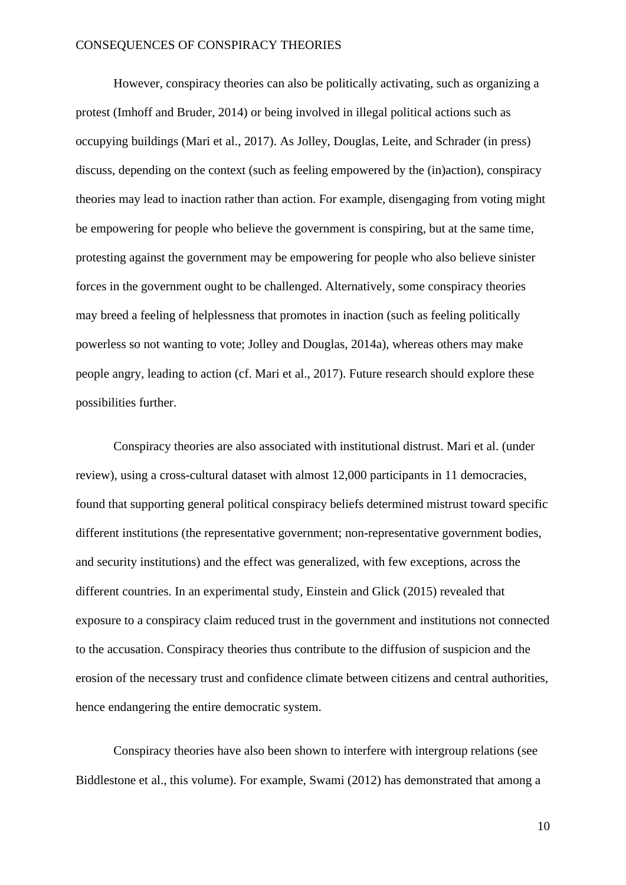However, conspiracy theories can also be politically activating, such as organizing a protest (Imhoff and Bruder, 2014) or being involved in illegal political actions such as occupying buildings (Mari et al., 2017). As Jolley, Douglas, Leite, and Schrader (in press) discuss, depending on the context (such as feeling empowered by the (in)action), conspiracy theories may lead to inaction rather than action. For example, disengaging from voting might be empowering for people who believe the government is conspiring, but at the same time, protesting against the government may be empowering for people who also believe sinister forces in the government ought to be challenged. Alternatively, some conspiracy theories may breed a feeling of helplessness that promotes in inaction (such as feeling politically powerless so not wanting to vote; Jolley and Douglas, 2014a), whereas others may make people angry, leading to action (cf. Mari et al., 2017). Future research should explore these possibilities further.

Conspiracy theories are also associated with institutional distrust. Mari et al. (under review), using a cross-cultural dataset with almost 12,000 participants in 11 democracies, found that supporting general political conspiracy beliefs determined mistrust toward specific different institutions (the representative government; non-representative government bodies, and security institutions) and the effect was generalized, with few exceptions, across the different countries. In an experimental study, Einstein and Glick (2015) revealed that exposure to a conspiracy claim reduced trust in the government and institutions not connected to the accusation. Conspiracy theories thus contribute to the diffusion of suspicion and the erosion of the necessary trust and confidence climate between citizens and central authorities, hence endangering the entire democratic system.

Conspiracy theories have also been shown to interfere with intergroup relations (see Biddlestone et al., this volume). For example, Swami (2012) has demonstrated that among a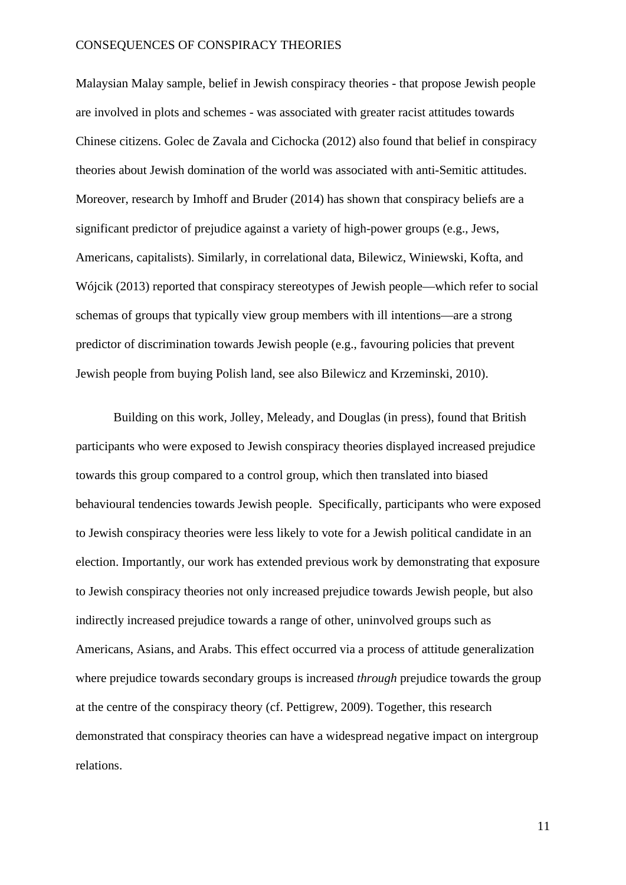Malaysian Malay sample, belief in Jewish conspiracy theories - that propose Jewish people are involved in plots and schemes - was associated with greater racist attitudes towards Chinese citizens. Golec de Zavala and Cichocka (2012) also found that belief in conspiracy theories about Jewish domination of the world was associated with anti-Semitic attitudes. Moreover, research by Imhoff and Bruder (2014) has shown that conspiracy beliefs are a significant predictor of prejudice against a variety of high-power groups (e.g., Jews, Americans, capitalists). Similarly, in correlational data, Bilewicz, Winiewski, Kofta, and Wójcik (2013) reported that conspiracy stereotypes of Jewish people—which refer to social schemas of groups that typically view group members with ill intentions—are a strong predictor of discrimination towards Jewish people (e.g., favouring policies that prevent Jewish people from buying Polish land, see also Bilewicz and Krzeminski, 2010).

Building on this work, Jolley, Meleady, and Douglas (in press), found that British participants who were exposed to Jewish conspiracy theories displayed increased prejudice towards this group compared to a control group, which then translated into biased behavioural tendencies towards Jewish people. Specifically, participants who were exposed to Jewish conspiracy theories were less likely to vote for a Jewish political candidate in an election. Importantly, our work has extended previous work by demonstrating that exposure to Jewish conspiracy theories not only increased prejudice towards Jewish people, but also indirectly increased prejudice towards a range of other, uninvolved groups such as Americans, Asians, and Arabs. This effect occurred via a process of attitude generalization where prejudice towards secondary groups is increased *through* prejudice towards the group at the centre of the conspiracy theory (cf. Pettigrew, 2009). Together, this research demonstrated that conspiracy theories can have a widespread negative impact on intergroup relations.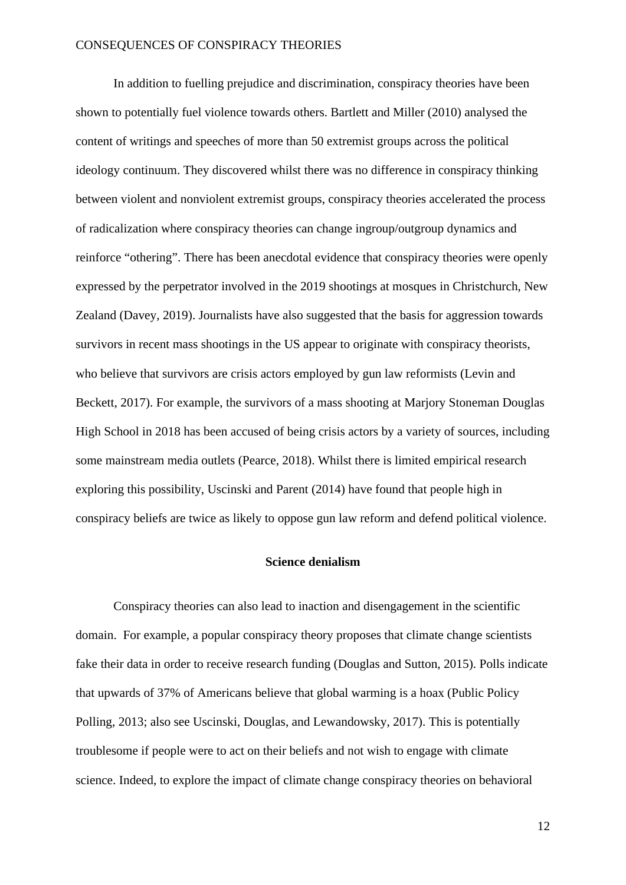In addition to fuelling prejudice and discrimination, conspiracy theories have been shown to potentially fuel violence towards others. Bartlett and Miller (2010) analysed the content of writings and speeches of more than 50 extremist groups across the political ideology continuum. They discovered whilst there was no difference in conspiracy thinking between violent and nonviolent extremist groups, conspiracy theories accelerated the process of radicalization where conspiracy theories can change ingroup/outgroup dynamics and reinforce "othering". There has been anecdotal evidence that conspiracy theories were openly expressed by the perpetrator involved in the 2019 shootings at mosques in Christchurch, New Zealand (Davey, 2019). Journalists have also suggested that the basis for aggression towards survivors in recent mass shootings in the US appear to originate with conspiracy theorists, who believe that survivors are crisis actors employed by gun law reformists (Levin and Beckett, 2017). For example, the survivors of a mass shooting at Marjory Stoneman Douglas High School in 2018 has been accused of being crisis actors by a variety of sources, including some mainstream media outlets (Pearce, 2018). Whilst there is limited empirical research exploring this possibility, Uscinski and Parent (2014) have found that people high in conspiracy beliefs are twice as likely to oppose gun law reform and defend political violence.

## **Science denialism**

Conspiracy theories can also lead to inaction and disengagement in the scientific domain. For example, a popular conspiracy theory proposes that climate change scientists fake their data in order to receive research funding (Douglas and Sutton, 2015). Polls indicate that upwards of 37% of Americans believe that global warming is a hoax (Public Policy Polling, 2013; also see Uscinski, Douglas, and Lewandowsky, 2017). This is potentially troublesome if people were to act on their beliefs and not wish to engage with climate science. Indeed, to explore the impact of climate change conspiracy theories on behavioral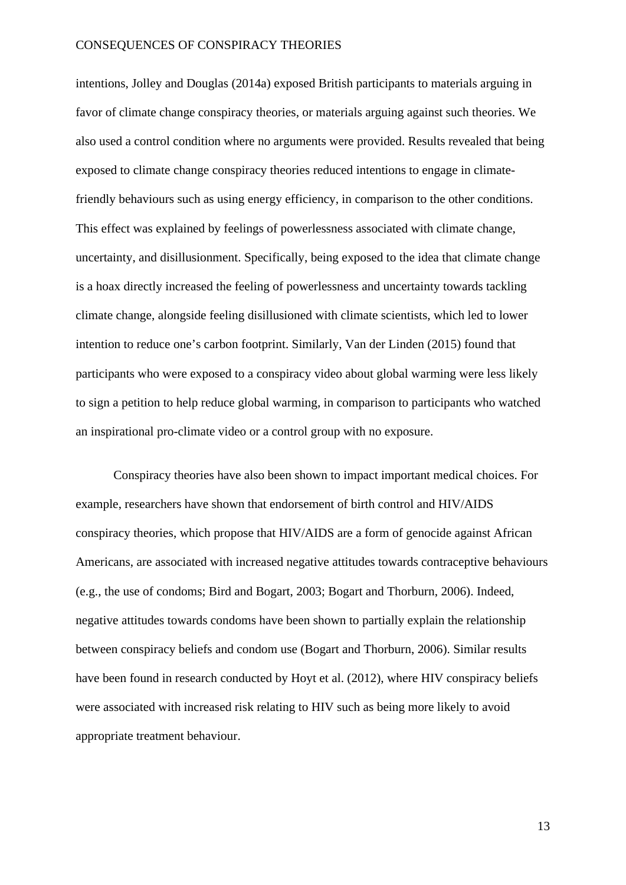intentions, Jolley and Douglas (2014a) exposed British participants to materials arguing in favor of climate change conspiracy theories, or materials arguing against such theories. We also used a control condition where no arguments were provided. Results revealed that being exposed to climate change conspiracy theories reduced intentions to engage in climatefriendly behaviours such as using energy efficiency, in comparison to the other conditions. This effect was explained by feelings of powerlessness associated with climate change, uncertainty, and disillusionment. Specifically, being exposed to the idea that climate change is a hoax directly increased the feeling of powerlessness and uncertainty towards tackling climate change, alongside feeling disillusioned with climate scientists, which led to lower intention to reduce one's carbon footprint. Similarly, Van der Linden (2015) found that participants who were exposed to a conspiracy video about global warming were less likely to sign a petition to help reduce global warming, in comparison to participants who watched an inspirational pro-climate video or a control group with no exposure.

Conspiracy theories have also been shown to impact important medical choices. For example, researchers have shown that endorsement of birth control and HIV/AIDS conspiracy theories, which propose that HIV/AIDS are a form of genocide against African Americans, are associated with increased negative attitudes towards contraceptive behaviours (e.g., the use of condoms; Bird and Bogart, 2003; Bogart and Thorburn, 2006). Indeed, negative attitudes towards condoms have been shown to partially explain the relationship between conspiracy beliefs and condom use (Bogart and Thorburn, 2006). Similar results have been found in research conducted by Hoyt et al. (2012), where HIV conspiracy beliefs were associated with increased risk relating to HIV such as being more likely to avoid appropriate treatment behaviour.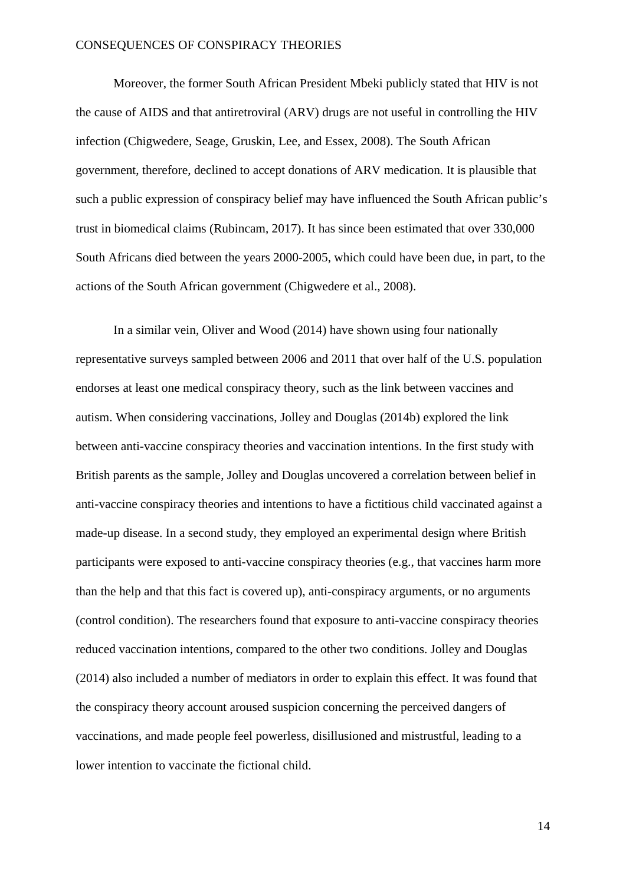Moreover, the former South African President Mbeki publicly stated that HIV is not the cause of AIDS and that antiretroviral (ARV) drugs are not useful in controlling the HIV infection (Chigwedere, Seage, Gruskin, Lee, and Essex, 2008). The South African government, therefore, declined to accept donations of ARV medication. It is plausible that such a public expression of conspiracy belief may have influenced the South African public's trust in biomedical claims (Rubincam, 2017). It has since been estimated that over 330,000 South Africans died between the years 2000-2005, which could have been due, in part, to the actions of the South African government (Chigwedere et al., 2008).

In a similar vein, Oliver and Wood (2014) have shown using four nationally representative surveys sampled between 2006 and 2011 that over half of the U.S. population endorses at least one medical conspiracy theory, such as the link between vaccines and autism. When considering vaccinations, Jolley and Douglas (2014b) explored the link between anti-vaccine conspiracy theories and vaccination intentions. In the first study with British parents as the sample, Jolley and Douglas uncovered a correlation between belief in anti-vaccine conspiracy theories and intentions to have a fictitious child vaccinated against a made-up disease. In a second study, they employed an experimental design where British participants were exposed to anti-vaccine conspiracy theories (e.g., that vaccines harm more than the help and that this fact is covered up), anti-conspiracy arguments, or no arguments (control condition). The researchers found that exposure to anti-vaccine conspiracy theories reduced vaccination intentions, compared to the other two conditions. Jolley and Douglas (2014) also included a number of mediators in order to explain this effect. It was found that the conspiracy theory account aroused suspicion concerning the perceived dangers of vaccinations, and made people feel powerless, disillusioned and mistrustful, leading to a lower intention to vaccinate the fictional child.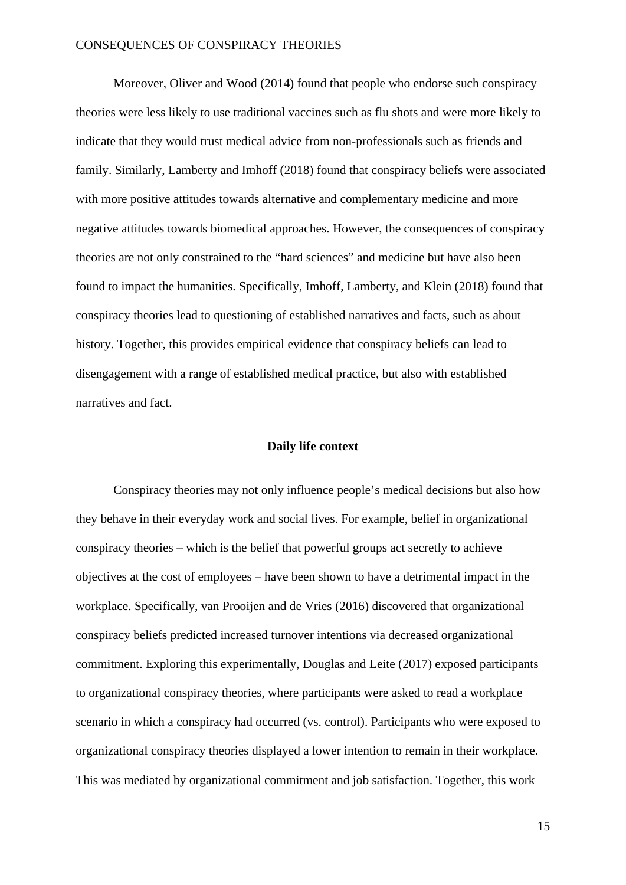Moreover, Oliver and Wood (2014) found that people who endorse such conspiracy theories were less likely to use traditional vaccines such as flu shots and were more likely to indicate that they would trust medical advice from non-professionals such as friends and family. Similarly, Lamberty and Imhoff (2018) found that conspiracy beliefs were associated with more positive attitudes towards alternative and complementary medicine and more negative attitudes towards biomedical approaches. However, the consequences of conspiracy theories are not only constrained to the "hard sciences" and medicine but have also been found to impact the humanities. Specifically, Imhoff, Lamberty, and Klein (2018) found that conspiracy theories lead to questioning of established narratives and facts, such as about history. Together, this provides empirical evidence that conspiracy beliefs can lead to disengagement with a range of established medical practice, but also with established narratives and fact.

## **Daily life context**

Conspiracy theories may not only influence people's medical decisions but also how they behave in their everyday work and social lives. For example, belief in organizational conspiracy theories – which is the belief that powerful groups act secretly to achieve objectives at the cost of employees – have been shown to have a detrimental impact in the workplace. Specifically, van Prooijen and de Vries (2016) discovered that organizational conspiracy beliefs predicted increased turnover intentions via decreased organizational commitment. Exploring this experimentally, Douglas and Leite (2017) exposed participants to organizational conspiracy theories, where participants were asked to read a workplace scenario in which a conspiracy had occurred (vs. control). Participants who were exposed to organizational conspiracy theories displayed a lower intention to remain in their workplace. This was mediated by organizational commitment and job satisfaction. Together, this work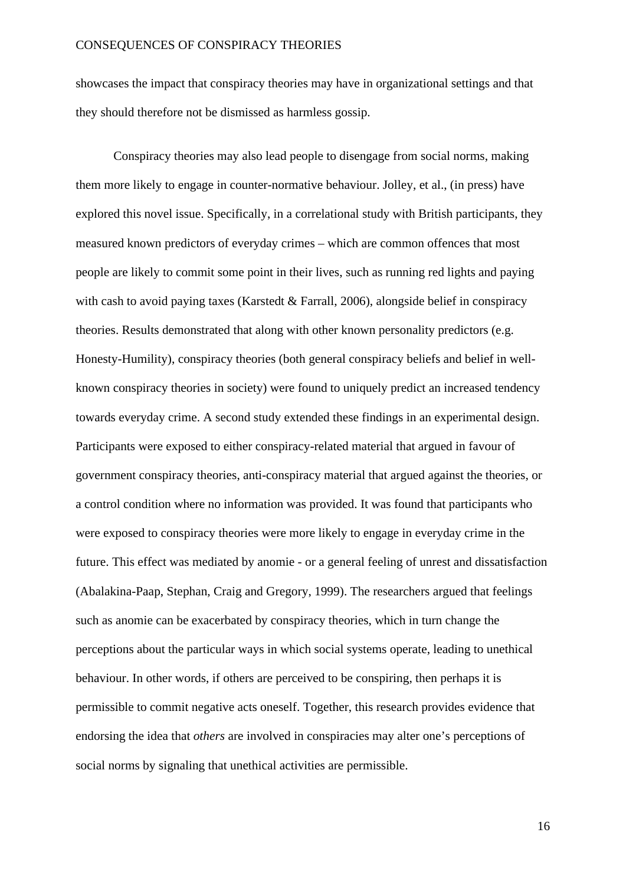showcases the impact that conspiracy theories may have in organizational settings and that they should therefore not be dismissed as harmless gossip.

Conspiracy theories may also lead people to disengage from social norms, making them more likely to engage in counter-normative behaviour. Jolley, et al., (in press) have explored this novel issue. Specifically, in a correlational study with British participants, they measured known predictors of everyday crimes – which are common offences that most people are likely to commit some point in their lives, such as running red lights and paying with cash to avoid paying taxes (Karstedt & Farrall, 2006), alongside belief in conspiracy theories. Results demonstrated that along with other known personality predictors (e.g. Honesty-Humility), conspiracy theories (both general conspiracy beliefs and belief in wellknown conspiracy theories in society) were found to uniquely predict an increased tendency towards everyday crime. A second study extended these findings in an experimental design. Participants were exposed to either conspiracy-related material that argued in favour of government conspiracy theories, anti-conspiracy material that argued against the theories, or a control condition where no information was provided. It was found that participants who were exposed to conspiracy theories were more likely to engage in everyday crime in the future. This effect was mediated by anomie - or a general feeling of unrest and dissatisfaction (Abalakina-Paap, Stephan, Craig and Gregory, 1999). The researchers argued that feelings such as anomie can be exacerbated by conspiracy theories, which in turn change the perceptions about the particular ways in which social systems operate, leading to unethical behaviour. In other words, if others are perceived to be conspiring, then perhaps it is permissible to commit negative acts oneself. Together, this research provides evidence that endorsing the idea that *others* are involved in conspiracies may alter one's perceptions of social norms by signaling that unethical activities are permissible.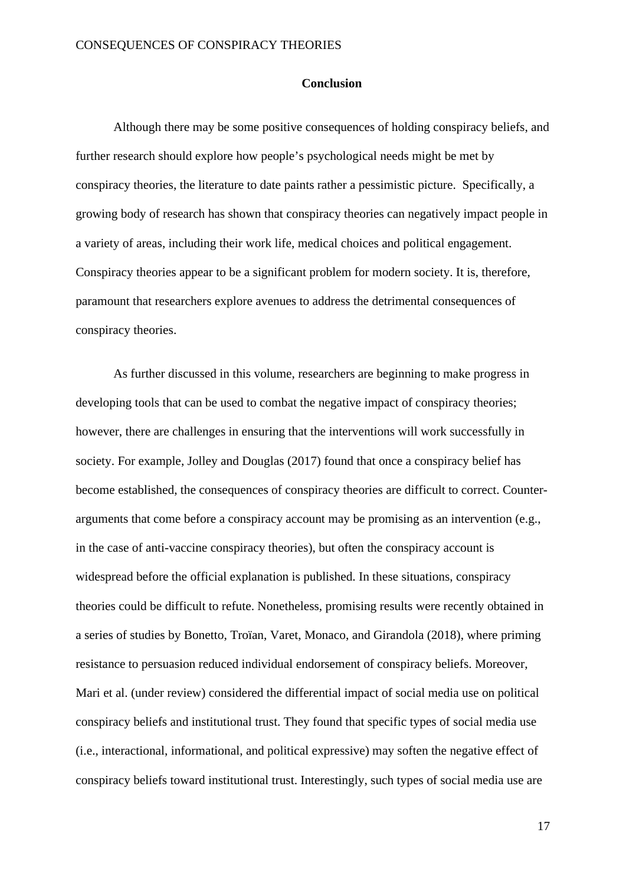#### **Conclusion**

Although there may be some positive consequences of holding conspiracy beliefs, and further research should explore how people's psychological needs might be met by conspiracy theories, the literature to date paints rather a pessimistic picture. Specifically, a growing body of research has shown that conspiracy theories can negatively impact people in a variety of areas, including their work life, medical choices and political engagement. Conspiracy theories appear to be a significant problem for modern society. It is, therefore, paramount that researchers explore avenues to address the detrimental consequences of conspiracy theories.

As further discussed in this volume, researchers are beginning to make progress in developing tools that can be used to combat the negative impact of conspiracy theories; however, there are challenges in ensuring that the interventions will work successfully in society. For example, Jolley and Douglas (2017) found that once a conspiracy belief has become established, the consequences of conspiracy theories are difficult to correct. Counterarguments that come before a conspiracy account may be promising as an intervention (e.g., in the case of anti-vaccine conspiracy theories), but often the conspiracy account is widespread before the official explanation is published. In these situations, conspiracy theories could be difficult to refute. Nonetheless, promising results were recently obtained in a series of studies by Bonetto, Troïan, Varet, Monaco, and Girandola (2018), where priming resistance to persuasion reduced individual endorsement of conspiracy beliefs. Moreover, Mari et al. (under review) considered the differential impact of social media use on political conspiracy beliefs and institutional trust. They found that specific types of social media use (i.e., interactional, informational, and political expressive) may soften the negative effect of conspiracy beliefs toward institutional trust. Interestingly, such types of social media use are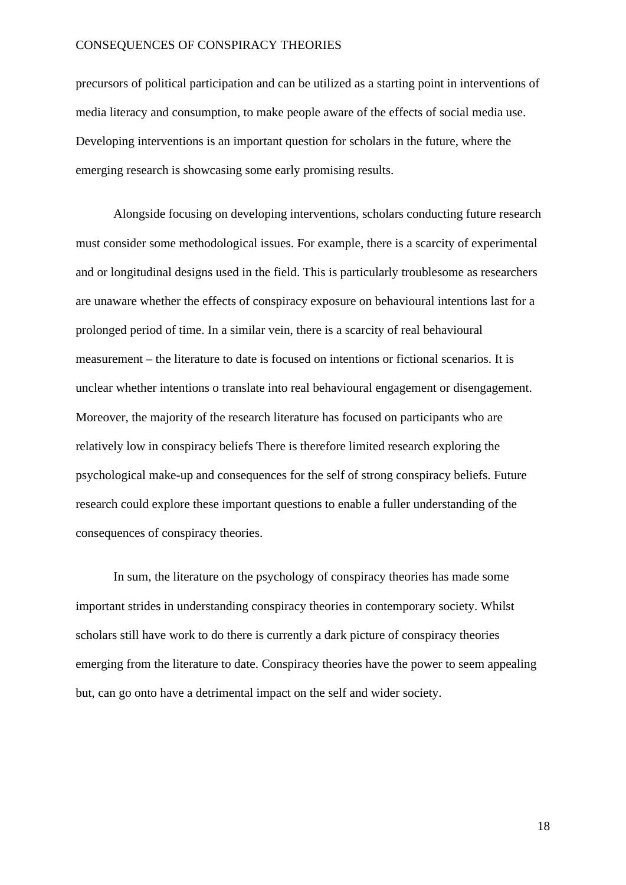precursors of political participation and can be utilized as a starting point in interventions of media literacy and consumption, to make people aware of the effects of social media use. Developing interventions is an important question for scholars in the future, where the emerging research is showcasing some early promising results.

Alongside focusing on developing interventions, scholars conducting future research must consider some methodological issues. For example, there is a scarcity of experimental and or longitudinal designs used in the field. This is particularly troublesome as researchers are unaware whether the effects of conspiracy exposure on behavioural intentions last for a prolonged period of time. In a similar vein, there is a scarcity of real behavioural measurement – the literature to date is focused on intentions or fictional scenarios. It is unclear whether intentions o translate into real behavioural engagement or disengagement. Moreover, the majority of the research literature has focused on participants who are relatively low in conspiracy beliefs There is therefore limited research exploring the psychological make-up and consequences for the self of strong conspiracy beliefs. Future research could explore these important questions to enable a fuller understanding of the consequences of conspiracy theories.

In sum, the literature on the psychology of conspiracy theories has made some important strides in understanding conspiracy theories in contemporary society. Whilst scholars still have work to do there is currently a dark picture of conspiracy theories emerging from the literature to date. Conspiracy theories have the power to seem appealing but, can go onto have a detrimental impact on the self and wider society.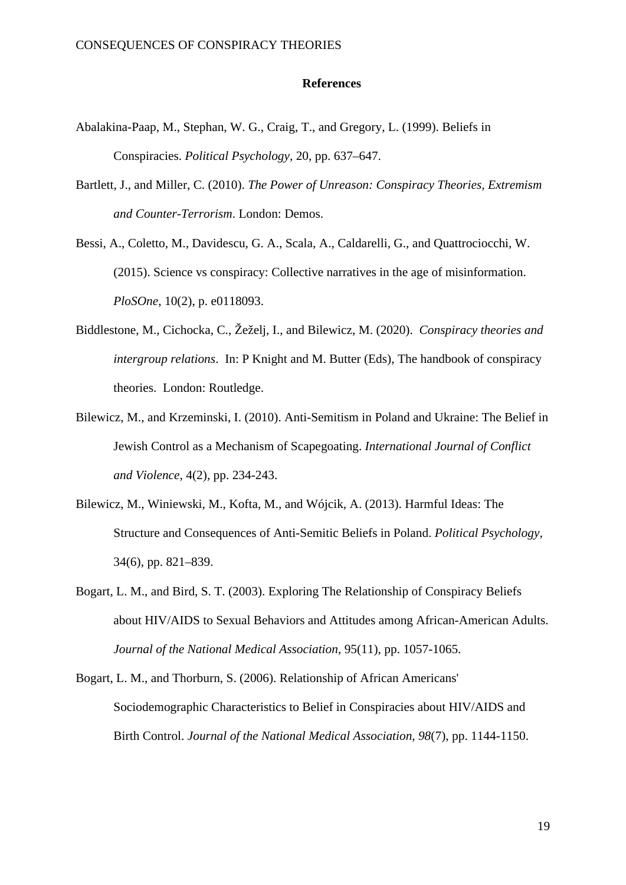#### **References**

- Abalakina-Paap, M., Stephan, W. G., Craig, T., and Gregory, L. (1999). Beliefs in Conspiracies. *Political Psychology,* 20, pp. 637–647.
- Bartlett, J., and Miller, C. (2010). *The Power of Unreason: Conspiracy Theories, Extremism and Counter-Terrorism*. London: Demos.
- Bessi, A., Coletto, M., Davidescu, G. A., Scala, A., Caldarelli, G., and Quattrociocchi, W. (2015). Science vs conspiracy: Collective narratives in the age of misinformation. *PloSOne*, 10(2), p. e0118093.
- Biddlestone, M., Cichocka, C., Žeželj, I., and Bilewicz, M. (2020). *Conspiracy theories and intergroup relations*. In: P Knight and M. Butter (Eds), The handbook of conspiracy theories. London: Routledge.
- Bilewicz, M., and Krzeminski, I. (2010). Anti-Semitism in Poland and Ukraine: The Belief in Jewish Control as a Mechanism of Scapegoating. *International Journal of Conflict and Violence*, 4(2), pp. 234-243.
- Bilewicz, M., Winiewski, M., Kofta, M., and Wójcik, A. (2013). Harmful Ideas: The Structure and Consequences of Anti-Semitic Beliefs in Poland. *Political Psychology,*  34(6), pp. 821–839.
- Bogart, L. M., and Bird, S. T. (2003). Exploring The Relationship of Conspiracy Beliefs about HIV/AIDS to Sexual Behaviors and Attitudes among African-American Adults. *Journal of the National Medical Association*, 95(11), pp. 1057-1065.
- Bogart, L. M., and Thorburn, S. (2006). Relationship of African Americans' Sociodemographic Characteristics to Belief in Conspiracies about HIV/AIDS and Birth Control. *Journal of the National Medical Association*, *98*(7), pp. 1144-1150.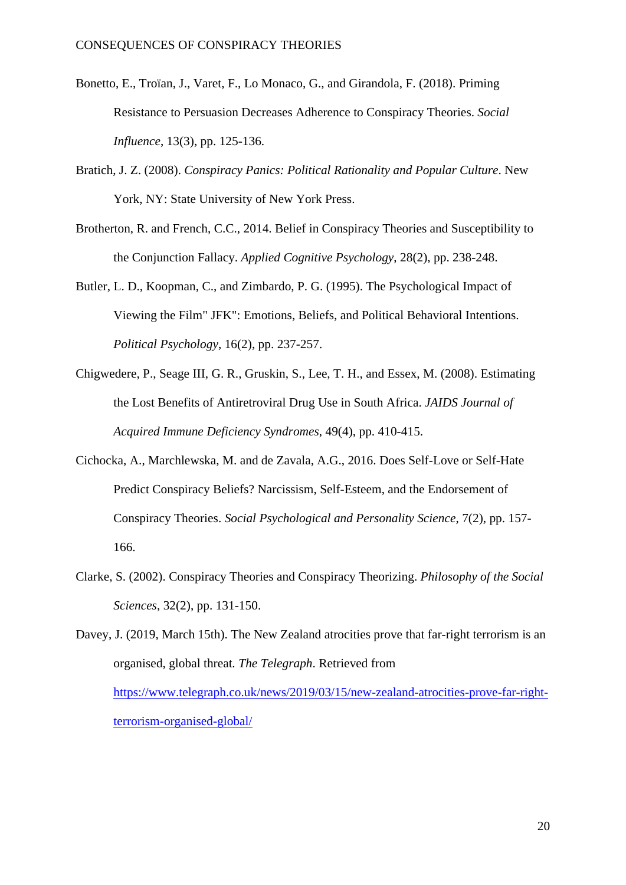- Bonetto, E., Troïan, J., Varet, F., Lo Monaco, G., and Girandola, F. (2018). Priming Resistance to Persuasion Decreases Adherence to Conspiracy Theories. *Social Influence*, 13(3), pp. 125-136.
- Bratich, J. Z. (2008). *Conspiracy Panics: Political Rationality and Popular Culture*. New York, NY: State University of New York Press.
- Brotherton, R. and French, C.C., 2014. Belief in Conspiracy Theories and Susceptibility to the Conjunction Fallacy. *Applied Cognitive Psychology*, 28(2), pp. 238-248.
- Butler, L. D., Koopman, C., and Zimbardo, P. G. (1995). The Psychological Impact of Viewing the Film" JFK": Emotions, Beliefs, and Political Behavioral Intentions. *Political Psychology*, 16(2), pp. 237-257.
- Chigwedere, P., Seage III, G. R., Gruskin, S., Lee, T. H., and Essex, M. (2008). Estimating the Lost Benefits of Antiretroviral Drug Use in South Africa. *JAIDS Journal of Acquired Immune Deficiency Syndromes*, 49(4), pp. 410-415.
- Cichocka, A., Marchlewska, M. and de Zavala, A.G., 2016. Does Self-Love or Self-Hate Predict Conspiracy Beliefs? Narcissism, Self-Esteem, and the Endorsement of Conspiracy Theories. *Social Psychological and Personality Science*, 7(2), pp. 157- 166.
- Clarke, S. (2002). Conspiracy Theories and Conspiracy Theorizing. *Philosophy of the Social Sciences*, 32(2), pp. 131-150.

Davey, J. (2019, March 15th). The New Zealand atrocities prove that far-right terrorism is an organised, global threat*. The Telegraph*. Retrieved from [https://www.telegraph.co.uk/news/2019/03/15/new-zealand-atrocities-prove-far-right](https://www.telegraph.co.uk/news/2019/03/15/new-zealand-atrocities-prove-far-right-terrorism-organised-global/)[terrorism-organised-global/](https://www.telegraph.co.uk/news/2019/03/15/new-zealand-atrocities-prove-far-right-terrorism-organised-global/)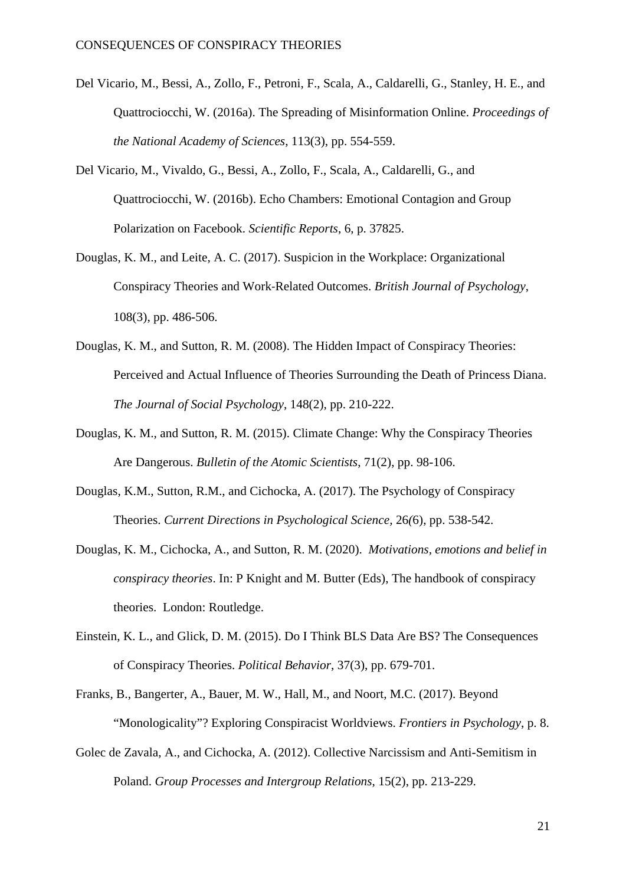- Del Vicario, M., Bessi, A., Zollo, F., Petroni, F., Scala, A., Caldarelli, G., Stanley, H. E., and Quattrociocchi, W. (2016a). The Spreading of Misinformation Online. *Proceedings of the National Academy of Sciences*, 113(3), pp. 554-559.
- Del Vicario, M., Vivaldo, G., Bessi, A., Zollo, F., Scala, A., Caldarelli, G., and Quattrociocchi, W. (2016b). Echo Chambers: Emotional Contagion and Group Polarization on Facebook. *Scientific Reports*, 6, p. 37825.
- Douglas, K. M., and Leite, A. C. (2017). Suspicion in the Workplace: Organizational Conspiracy Theories and Work‐Related Outcomes. *British Journal of Psychology*, 108(3), pp. 486-506.
- Douglas, K. M., and Sutton, R. M. (2008). The Hidden Impact of Conspiracy Theories: Perceived and Actual Influence of Theories Surrounding the Death of Princess Diana. *The Journal of Social Psychology*, 148(2), pp. 210-222.
- Douglas, K. M., and Sutton, R. M. (2015). Climate Change: Why the Conspiracy Theories Are Dangerous. *Bulletin of the Atomic Scientists*, 71(2), pp. 98-106.
- Douglas, K.M., Sutton, R.M., and Cichocka, A. (2017). The Psychology of Conspiracy Theories. *Current Directions in Psychological Science,* 26*(*6), pp. 538-542.
- Douglas, K. M., Cichocka, A., and Sutton, R. M. (2020). *Motivations, emotions and belief in conspiracy theories*. In: P Knight and M. Butter (Eds), The handbook of conspiracy theories. London: Routledge.
- Einstein, K. L., and Glick, D. M. (2015). Do I Think BLS Data Are BS? The Consequences of Conspiracy Theories. *Political Behavior*, 37(3), pp. 679-701.
- Franks, B., Bangerter, A., Bauer, M. W., Hall, M., and Noort, M.C. (2017). Beyond "Monologicality"? Exploring Conspiracist Worldviews. *Frontiers in Psychology*, p. 8.
- Golec de Zavala, A., and Cichocka, A. (2012). Collective Narcissism and Anti-Semitism in Poland. *Group Processes and Intergroup Relations*, 15(2), pp. 213-229.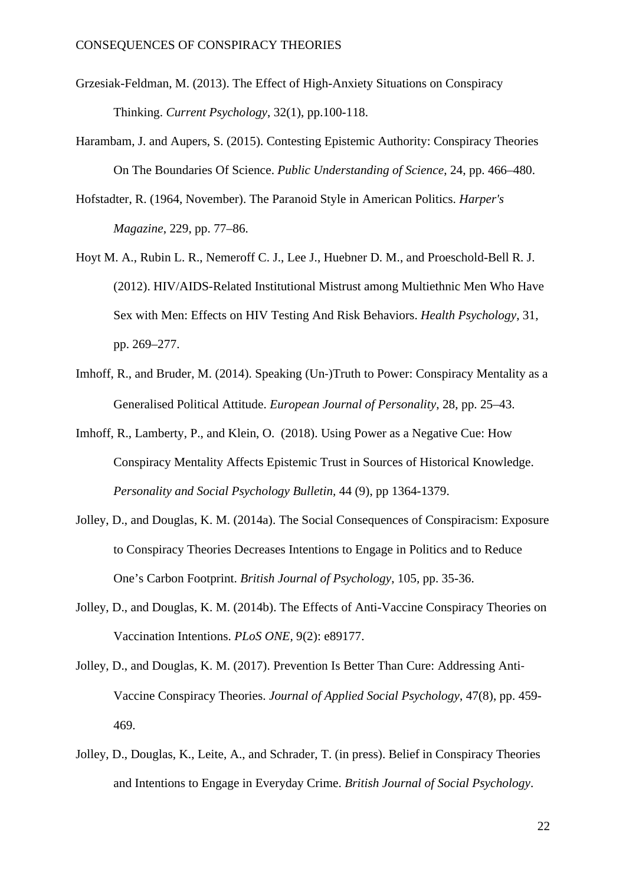- Grzesiak-Feldman, M. (2013). The Effect of High-Anxiety Situations on Conspiracy Thinking. *Current Psychology*, 32(1), pp.100-118.
- Harambam, J. and Aupers, S. (2015). Contesting Epistemic Authority: Conspiracy Theories On The Boundaries Of Science. *Public Understanding of Science*, 24, pp. 466–480.
- Hofstadter, R. (1964, November). The Paranoid Style in American Politics. *Harper's Magazine*, 229, pp. 77–86.
- Hoyt M. A., Rubin L. R., Nemeroff C. J., Lee J., Huebner D. M., and Proeschold-Bell R. J. (2012). HIV/AIDS-Related Institutional Mistrust among Multiethnic Men Who Have Sex with Men: Effects on HIV Testing And Risk Behaviors. *Health Psychology*, 31, pp. 269–277.
- Imhoff, R., and Bruder, M. (2014). Speaking (Un-)Truth to Power: Conspiracy Mentality as a Generalised Political Attitude. *European Journal of Personality*, 28, pp. 25–43.
- Imhoff, R., Lamberty, P., and Klein, O. (2018). Using Power as a Negative Cue: How Conspiracy Mentality Affects Epistemic Trust in Sources of Historical Knowledge. *[Personality and Social Psychology Bulletin,](https://journals.sagepub.com/home/psp)* [44 \(9\), pp 1364-1379.](https://journals.sagepub.com/home/psp)
- Jolley, D., and Douglas, K. M. (2014a). The Social Consequences of Conspiracism: Exposure to Conspiracy Theories Decreases Intentions to Engage in Politics and to Reduce One's Carbon Footprint. *British Journal of Psychology*, 105*,* pp. 35-36.
- Jolley, D., and Douglas, K. M. (2014b). The Effects of Anti-Vaccine Conspiracy Theories on Vaccination Intentions. *PLoS ONE,* 9(2): e89177.
- Jolley, D., and Douglas, K. M. (2017). Prevention Is Better Than Cure: Addressing Anti‐ Vaccine Conspiracy Theories. *Journal of Applied Social Psychology*, 47(8), pp. 459- 469.
- Jolley, D., Douglas, K., Leite, A., and Schrader, T. (in press). Belief in Conspiracy Theories and Intentions to Engage in Everyday Crime. *British Journal of Social Psychology*.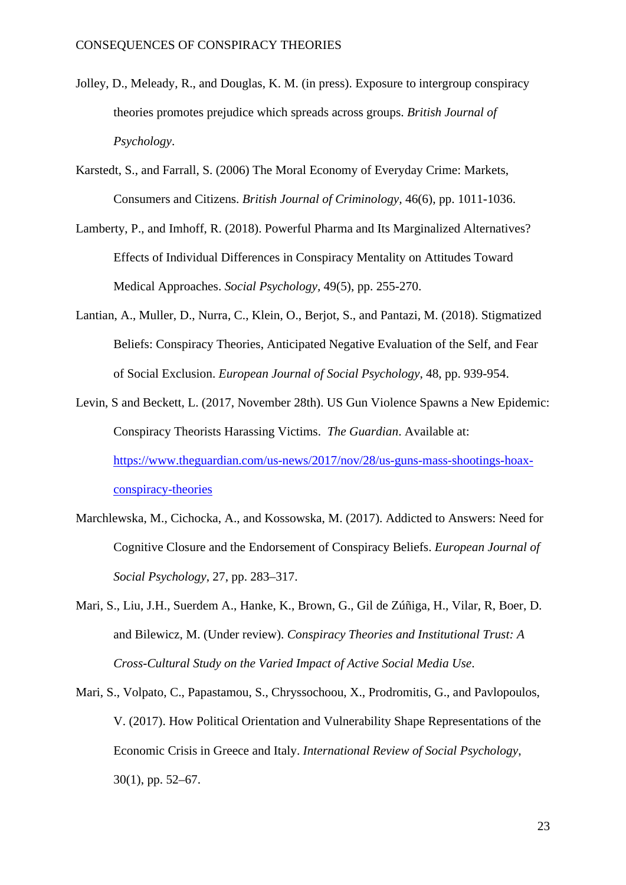- Jolley, D., Meleady, R., and Douglas, K. M. (in press). Exposure to intergroup conspiracy theories promotes prejudice which spreads across groups. *British Journal of Psychology*.
- Karstedt, S., and Farrall, S. (2006) The Moral Economy of Everyday Crime: Markets, Consumers and Citizens. *British Journal of Criminology,* 46(6), pp. 1011-1036.
- Lamberty, P., and Imhoff, R. (2018). Powerful Pharma and Its Marginalized Alternatives? Effects of Individual Differences in Conspiracy Mentality on Attitudes Toward Medical Approaches. *Social Psychology,* 49(5), pp. 255-270.
- Lantian, A., Muller, D., Nurra, C., Klein, O., Berjot, S., and Pantazi, M. (2018). Stigmatized Beliefs: Conspiracy Theories, Anticipated Negative Evaluation of the Self, and Fear of Social Exclusion. *European Journal of Social Psychology*, 48, pp. 939-954.
- Levin, S and Beckett, L. (2017, November 28th). US Gun Violence Spawns a New Epidemic: Conspiracy Theorists Harassing Victims. *The Guardian*. Available at: [https://www.theguardian.com/us-news/2017/nov/28/us-guns-mass-shootings-hoax](https://www.theguardian.com/us-news/2017/nov/28/us-guns-mass-shootings-hoax-conspiracy-theories)[conspiracy-theories](https://www.theguardian.com/us-news/2017/nov/28/us-guns-mass-shootings-hoax-conspiracy-theories)
- Marchlewska, M., Cichocka, A., and Kossowska, M. (2017). Addicted to Answers: Need for Cognitive Closure and the Endorsement of Conspiracy Beliefs. *European Journal of Social Psychology*, 27, pp. 283–317.
- Mari, S., Liu, J.H., Suerdem A., Hanke, K., Brown, G., Gil de Zúñiga, H., Vilar, R, Boer, D. and Bilewicz, M. (Under review). *Conspiracy Theories and Institutional Trust: A Cross-Cultural Study on the Varied Impact of Active Social Media Use*.
- Mari, S., Volpato, C., Papastamou, S., Chryssochoou, X., Prodromitis, G., and Pavlopoulos, V. (2017). How Political Orientation and Vulnerability Shape Representations of the Economic Crisis in Greece and Italy. *International Review of Social Psychology*, 30(1), pp. 52–67.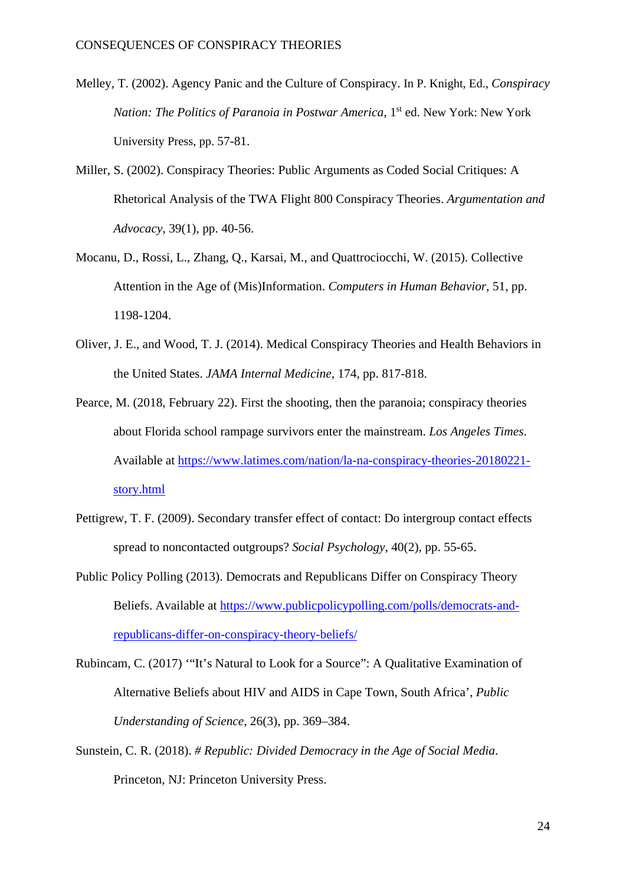- Melley, T. (2002). Agency Panic and the Culture of Conspiracy. In P. Knight, Ed., *Conspiracy Nation: The Politics of Paranoia in Postwar America*, 1<sup>st</sup> ed. New York: New York University Press, pp. 57-81.
- Miller, S. (2002). Conspiracy Theories: Public Arguments as Coded Social Critiques: A Rhetorical Analysis of the TWA Flight 800 Conspiracy Theories. *Argumentation and Advocacy*, 39(1), pp. 40-56.
- Mocanu, D., Rossi, L., Zhang, Q., Karsai, M., and Quattrociocchi, W. (2015). Collective Attention in the Age of (Mis)Information. *Computers in Human Behavior*, 51, pp. 1198-1204.
- Oliver, J. E., and Wood, T. J. (2014). Medical Conspiracy Theories and Health Behaviors in the United States. *JAMA Internal Medicine,* 174, pp. 817-818.
- Pearce, M. (2018, February 22). First the shooting, then the paranoia; conspiracy theories about Florida school rampage survivors enter the mainstream. *Los Angeles Times*. Available at [https://www.latimes.com/nation/la-na-conspiracy-theories-20180221](https://www.latimes.com/nation/la-na-conspiracy-theories-20180221-story.html) [story.html](https://www.latimes.com/nation/la-na-conspiracy-theories-20180221-story.html)
- Pettigrew, T. F. (2009). Secondary transfer effect of contact: Do intergroup contact effects spread to noncontacted outgroups? *Social Psychology,* 40(2), pp. 55-65.
- Public Policy Polling (2013). Democrats and Republicans Differ on Conspiracy Theory Beliefs. Available at [https://www.publicpolicypolling.com/polls/democrats-and](https://www.publicpolicypolling.com/polls/democrats-and-republicans-differ-on-conspiracy-theory-beliefs/)[republicans-differ-on-conspiracy-theory-beliefs/](https://www.publicpolicypolling.com/polls/democrats-and-republicans-differ-on-conspiracy-theory-beliefs/)
- Rubincam, C. (2017) '"It's Natural to Look for a Source": A Qualitative Examination of Alternative Beliefs about HIV and AIDS in Cape Town, South Africa', *Public Understanding of Science*, 26(3), pp. 369–384.
- Sunstein, C. R. (2018). *# Republic: Divided Democracy in the Age of Social Media*. Princeton, NJ: Princeton University Press.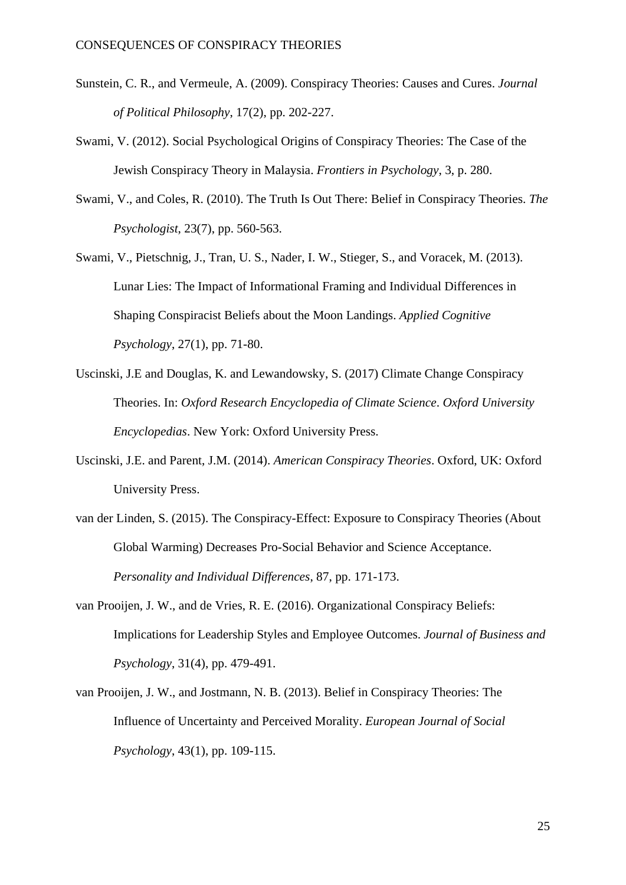- Sunstein, C. R., and Vermeule, A. (2009). Conspiracy Theories: Causes and Cures. *Journal of Political Philosophy*, 17(2), pp. 202-227.
- Swami, V. (2012). Social Psychological Origins of Conspiracy Theories: The Case of the Jewish Conspiracy Theory in Malaysia. *Frontiers in Psychology*, 3, p. 280.
- Swami, V., and Coles, R. (2010). The Truth Is Out There: Belief in Conspiracy Theories. *The Psychologist*, 23(7), pp. 560-563.
- Swami, V., Pietschnig, J., Tran, U. S., Nader, I. W., Stieger, S., and Voracek, M. (2013). Lunar Lies: The Impact of Informational Framing and Individual Differences in Shaping Conspiracist Beliefs about the Moon Landings. *Applied Cognitive Psychology*, 27(1), pp. 71-80.
- Uscinski, J.E and Douglas, K. and Lewandowsky, S. (2017) Climate Change Conspiracy Theories. In: *Oxford Research Encyclopedia of Climate Science*. *Oxford University Encyclopedias*. New York: Oxford University Press.
- Uscinski, J.E. and Parent, J.M. (2014). *American Conspiracy Theories*. Oxford, UK: Oxford University Press.
- van der Linden, S. (2015). The Conspiracy-Effect: Exposure to Conspiracy Theories (About Global Warming) Decreases Pro-Social Behavior and Science Acceptance. *Personality and Individual Differences*, 87, pp. 171-173.
- van Prooijen, J. W., and de Vries, R. E. (2016). Organizational Conspiracy Beliefs: Implications for Leadership Styles and Employee Outcomes. *Journal of Business and Psychology*, 31(4), pp. 479-491.
- van Prooijen, J. W., and Jostmann, N. B. (2013). Belief in Conspiracy Theories: The Influence of Uncertainty and Perceived Morality. *European Journal of Social Psychology*, 43(1), pp. 109-115.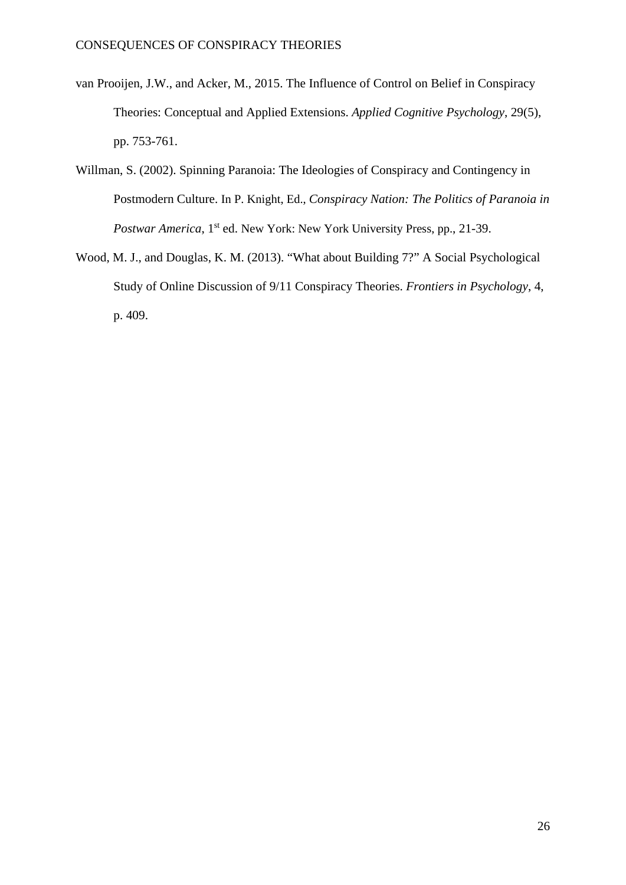- van Prooijen, J.W., and Acker, M., 2015. The Influence of Control on Belief in Conspiracy Theories: Conceptual and Applied Extensions. *Applied Cognitive Psychology*, 29(5), pp. 753-761.
- Willman, S. (2002). Spinning Paranoia: The Ideologies of Conspiracy and Contingency in Postmodern Culture. In P. Knight, Ed., *Conspiracy Nation: The Politics of Paranoia in Postwar America*, 1<sup>st</sup> ed. New York: New York University Press, pp., 21-39.
- Wood, M. J., and Douglas, K. M. (2013). "What about Building 7?" A Social Psychological Study of Online Discussion of 9/11 Conspiracy Theories. *Frontiers in Psychology*, 4, p. 409.